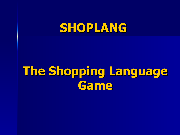# **SHOPLANG**

# **The Shopping Language Game**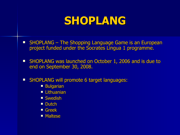### **SHOPLANG**

- **SHOPLANG The Shopping Language Game is an European** project funded under the Socrates Lingua 1 programme.
- **SHOPLANG was launched on October 1, 2006 and is due to** end on September 30, 2008.
- **SHOPLANG will promote 6 target languages:** 
	- **Bulgarian**
	- **Lithuanian**
	- Swedish
	- Dutch
	- Greek
	- **Maltese**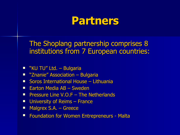### **Partners**

The Shoplang partnership comprises 8 institutions from 7 European countries:

- "KU TU" Ltd. Bulgaria
- **E** "Znanie" Association Bulgaria
- **Soros International House Lithuania**
- **Earton Media AB Sweden**
- **Pressure Line V.O.F The Netherlands**
- **University of Reims France**
- **Malgrex S.A. Greece**
- **Foundation for Women Entrepreneurs Malta**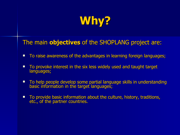

The main **objectives** of the SHOPLANG project are:

- **To raise awareness of the advantages in learning foreign languages;**
- To provoke interest in the six less widely used and taught target languages;
- **To help people develop some partial language skills in understanding** basic information in the target languages;
- To provide basic information about the culture, history, traditions, etc., of the partner countries.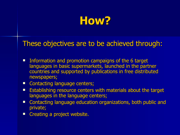

#### These objectives are to be achieved through:

- **Information and promotion campaigns of the 6 target** languages in basic supermarkets, launched in the partner countries and supported by publications in free distributed newspapers;
- **E** Contacting language centers;
- **E** Establishing resource centers with materials about the target languages in the language centers;
- **Example 2 Contacting language education organizations, both public and** private;
- **Example 2 Creating a project website.**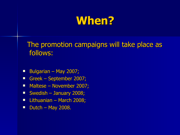# **When?**

 The promotion campaigns will take place as follows:

- Bulgarian May 2007;
- Greek September 2007;
- Maltese November 2007;
- Swedish January 2008;
- **Lithuanian March 2008;**
- $\blacksquare$  Dutch May 2008.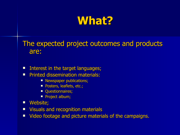# **What?**

The expected project outcomes and products are:

- **Interest in the target languages;**
- **Printed dissemination materials:** 
	- **Newspaper publications;**
	- Posters, leaflets, etc.;
	- **Questionnaires;**
	- **Project album;**
- **Nebsite;**
- **Visuals and recognition materials**
- **U Video footage and picture materials of the campaigns.**